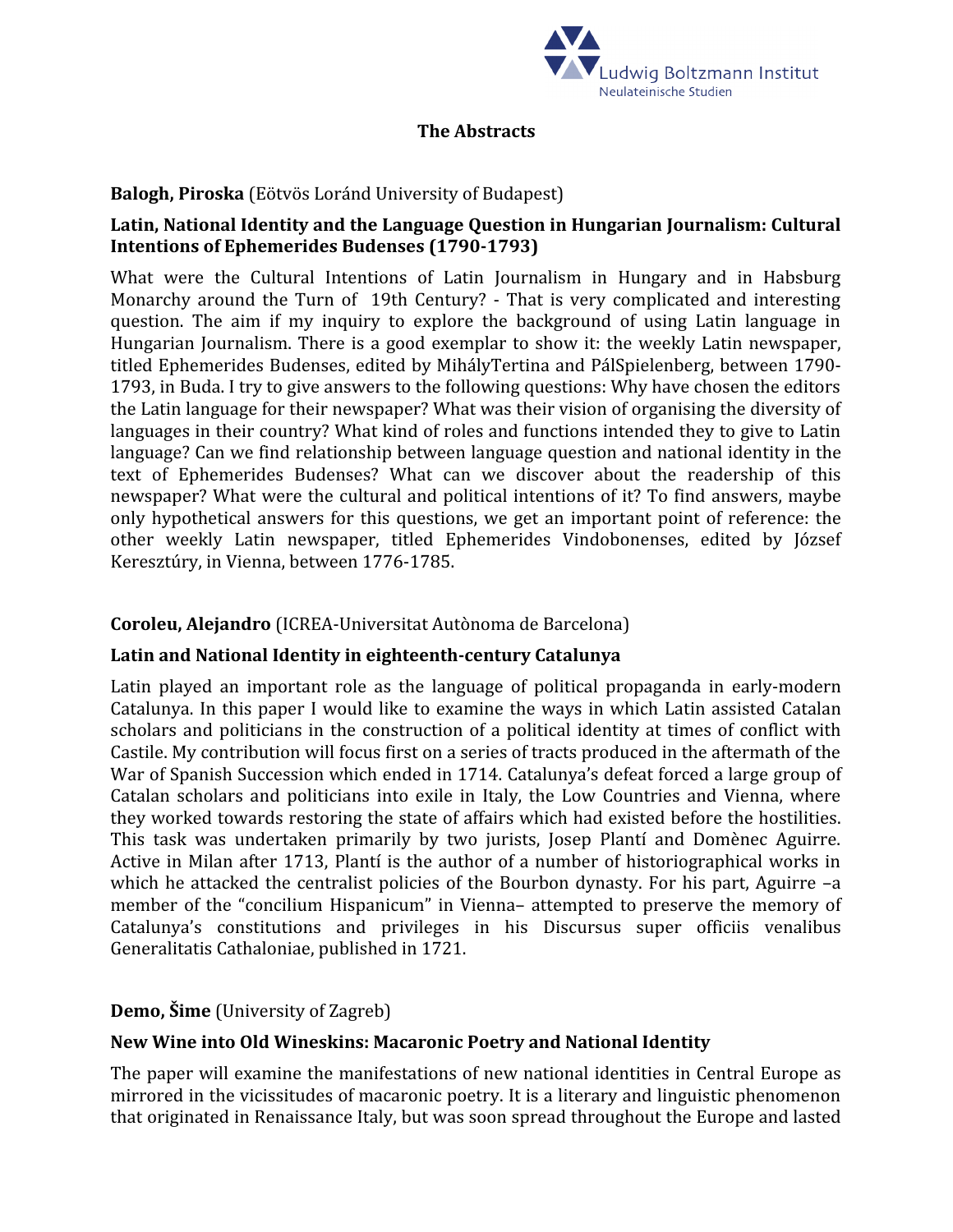

#### **The Abstracts**

### **Balogh, Piroska** (Eötvös Loránd University of Budapest)

## **Latin, National Identity and the Language Question in Hungarian Journalism: Cultural Intentions of Ephemerides Budenses (1790-1793)**

What were the Cultural Intentions of Latin Journalism in Hungary and in Habsburg Monarchy around the Turn of 19th Century? - That is very complicated and interesting question. The aim if my inquiry to explore the background of using Latin language in Hungarian Journalism. There is a good exemplar to show it: the weekly Latin newspaper, titled Ephemerides Budenses, edited by MihályTertina and PálSpielenberg, between 1790- 1793, in Buda. I try to give answers to the following questions: Why have chosen the editors the Latin language for their newspaper? What was their vision of organising the diversity of languages in their country? What kind of roles and functions intended they to give to Latin language? Can we find relationship between language question and national identity in the text of Ephemerides Budenses? What can we discover about the readership of this newspaper? What were the cultural and political intentions of it? To find answers, maybe only hypothetical answers for this questions, we get an important point of reference: the other weekly Latin newspaper, titled Ephemerides Vindobonenses, edited by József Keresztúry, in Vienna, between 1776-1785.

#### **Coroleu, Alejandro** (ICREA-Universitat Autònoma de Barcelona)

#### **Latin and National Identity in eighteenth-century Catalunya**

Latin played an important role as the language of political propaganda in early-modern Catalunya. In this paper I would like to examine the ways in which Latin assisted Catalan scholars and politicians in the construction of a political identity at times of conflict with Castile. My contribution will focus first on a series of tracts produced in the aftermath of the War of Spanish Succession which ended in 1714. Catalunya's defeat forced a large group of Catalan scholars and politicians into exile in Italy, the Low Countries and Vienna, where they worked towards restoring the state of affairs which had existed before the hostilities. This task was undertaken primarily by two jurists, Josep Plantí and Domènec Aguirre. Active in Milan after 1713, Plantí is the author of a number of historiographical works in which he attacked the centralist policies of the Bourbon dynasty. For his part, Aguirre –a member of the "concilium Hispanicum" in Vienna– attempted to preserve the memory of Catalunya's constitutions and privileges in his Discursus super officiis venalibus Generalitatis Cathaloniae, published in 1721.

#### **Demo, Šime** (University of Zagreb)

#### **New Wine into Old Wineskins: Macaronic Poetry and National Identity**

The paper will examine the manifestations of new national identities in Central Europe as mirrored in the vicissitudes of macaronic poetry. It is a literary and linguistic phenomenon that originated in Renaissance Italy, but was soon spread throughout the Europe and lasted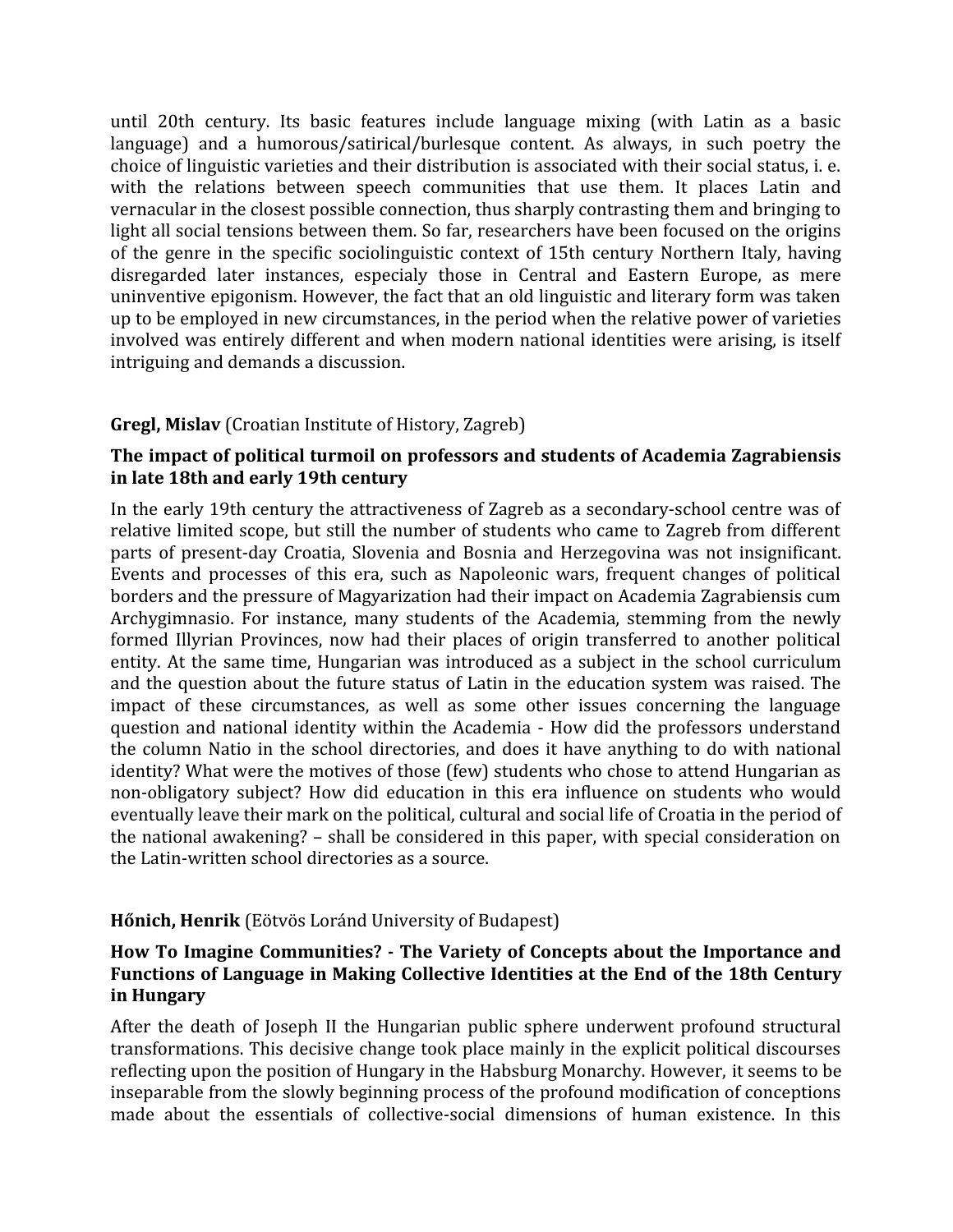until 20th century. Its basic features include language mixing (with Latin as a basic language) and a humorous/satirical/burlesque content. As always, in such poetry the choice of linguistic varieties and their distribution is associated with their social status, i. e. with the relations between speech communities that use them. It places Latin and vernacular in the closest possible connection, thus sharply contrasting them and bringing to light all social tensions between them. So far, researchers have been focused on the origins of the genre in the specific sociolinguistic context of 15th century Northern Italy, having disregarded later instances, especialy those in Central and Eastern Europe, as mere uninventive epigonism. However, the fact that an old linguistic and literary form was taken up to be employed in new circumstances, in the period when the relative power of varieties involved was entirely different and when modern national identities were arising, is itself intriguing and demands a discussion.

## **Gregl, Mislav** (Croatian Institute of History, Zagreb)

## **The impact of political turmoil on professors and students of Academia Zagrabiensis in late 18th and early 19th century**

In the early 19th century the attractiveness of Zagreb as a secondary-school centre was of relative limited scope, but still the number of students who came to Zagreb from different parts of present-day Croatia, Slovenia and Bosnia and Herzegovina was not insignificant. Events and processes of this era, such as Napoleonic wars, frequent changes of political borders and the pressure of Magyarization had their impact on Academia Zagrabiensis cum Archygimnasio. For instance, many students of the Academia, stemming from the newly formed Illyrian Provinces, now had their places of origin transferred to another political entity. At the same time, Hungarian was introduced as a subject in the school curriculum and the question about the future status of Latin in the education system was raised. The impact of these circumstances, as well as some other issues concerning the language question and national identity within the Academia - How did the professors understand the column Natio in the school directories, and does it have anything to do with national identity? What were the motives of those (few) students who chose to attend Hungarian as non-obligatory subject? How did education in this era influence on students who would eventually leave their mark on the political, cultural and social life of Croatia in the period of the national awakening? – shall be considered in this paper, with special consideration on the Latin-written school directories as a source.

#### **Hőnich, Henrik** (Eötvös Loránd University of Budapest)

#### **How To Imagine Communities? - The Variety of Concepts about the Importance and Functions of Language in Making Collective Identities at the End of the 18th Century in Hungary**

After the death of Joseph II the Hungarian public sphere underwent profound structural transformations. This decisive change took place mainly in the explicit political discourses reflecting upon the position of Hungary in the Habsburg Monarchy. However, it seems to be inseparable from the slowly beginning process of the profound modification of conceptions made about the essentials of collective-social dimensions of human existence. In this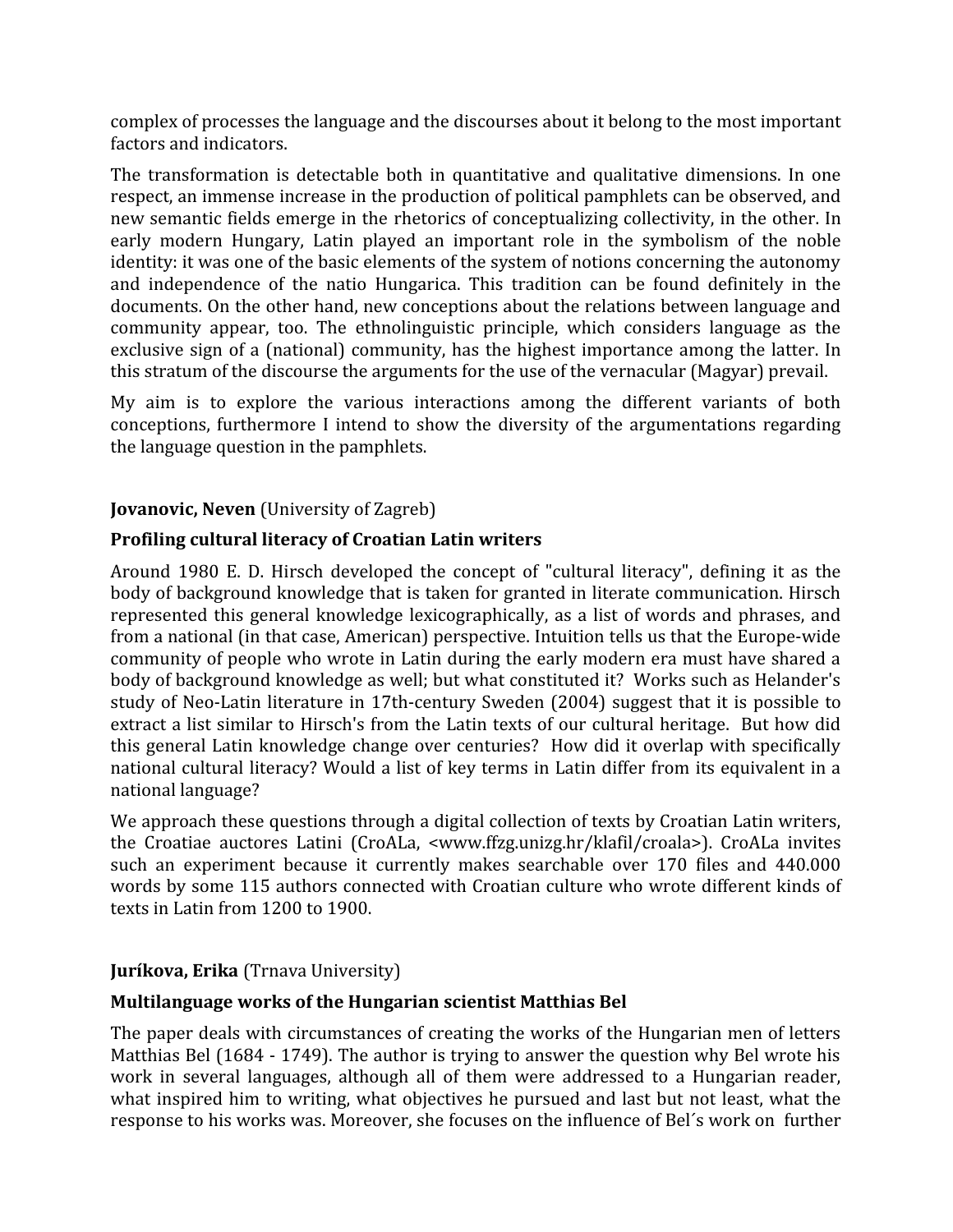complex of processes the language and the discourses about it belong to the most important factors and indicators.

The transformation is detectable both in quantitative and qualitative dimensions. In one respect, an immense increase in the production of political pamphlets can be observed, and new semantic fields emerge in the rhetorics of conceptualizing collectivity, in the other. In early modern Hungary, Latin played an important role in the symbolism of the noble identity: it was one of the basic elements of the system of notions concerning the autonomy and independence of the natio Hungarica. This tradition can be found definitely in the documents. On the other hand, new conceptions about the relations between language and community appear, too. The ethnolinguistic principle, which considers language as the exclusive sign of a (national) community, has the highest importance among the latter. In this stratum of the discourse the arguments for the use of the vernacular (Magyar) prevail.

My aim is to explore the various interactions among the different variants of both conceptions, furthermore I intend to show the diversity of the argumentations regarding the language question in the pamphlets.

## **Jovanovic, Neven** (University of Zagreb)

## **Profiling cultural literacy of Croatian Latin writers**

Around 1980 E. D. Hirsch developed the concept of "cultural literacy", defining it as the body of background knowledge that is taken for granted in literate communication. Hirsch represented this general knowledge lexicographically, as a list of words and phrases, and from a national (in that case, American) perspective. Intuition tells us that the Europe-wide community of people who wrote in Latin during the early modern era must have shared a body of background knowledge as well; but what constituted it? Works such as Helander's study of Neo-Latin literature in 17th-century Sweden (2004) suggest that it is possible to extract a list similar to Hirsch's from the Latin texts of our cultural heritage. But how did this general Latin knowledge change over centuries? How did it overlap with specifically national cultural literacy? Would a list of key terms in Latin differ from its equivalent in a national language?

We approach these questions through a digital collection of texts by Croatian Latin writers, the Croatiae auctores Latini (CroALa, <www.ffzg.unizg.hr/klafil/croala>). CroALa invites such an experiment because it currently makes searchable over 170 files and 440.000 words by some 115 authors connected with Croatian culture who wrote different kinds of texts in Latin from 1200 to 1900.

#### **Juríkova, Erika** (Trnava University)

#### **Multilanguage works of the Hungarian scientist Matthias Bel**

The paper deals with circumstances of creating the works of the Hungarian men of letters Matthias Bel (1684 - 1749). The author is trying to answer the question why Bel wrote his work in several languages, although all of them were addressed to a Hungarian reader, what inspired him to writing, what objectives he pursued and last but not least, what the response to his works was. Moreover, she focuses on the influence of Bel´s work on further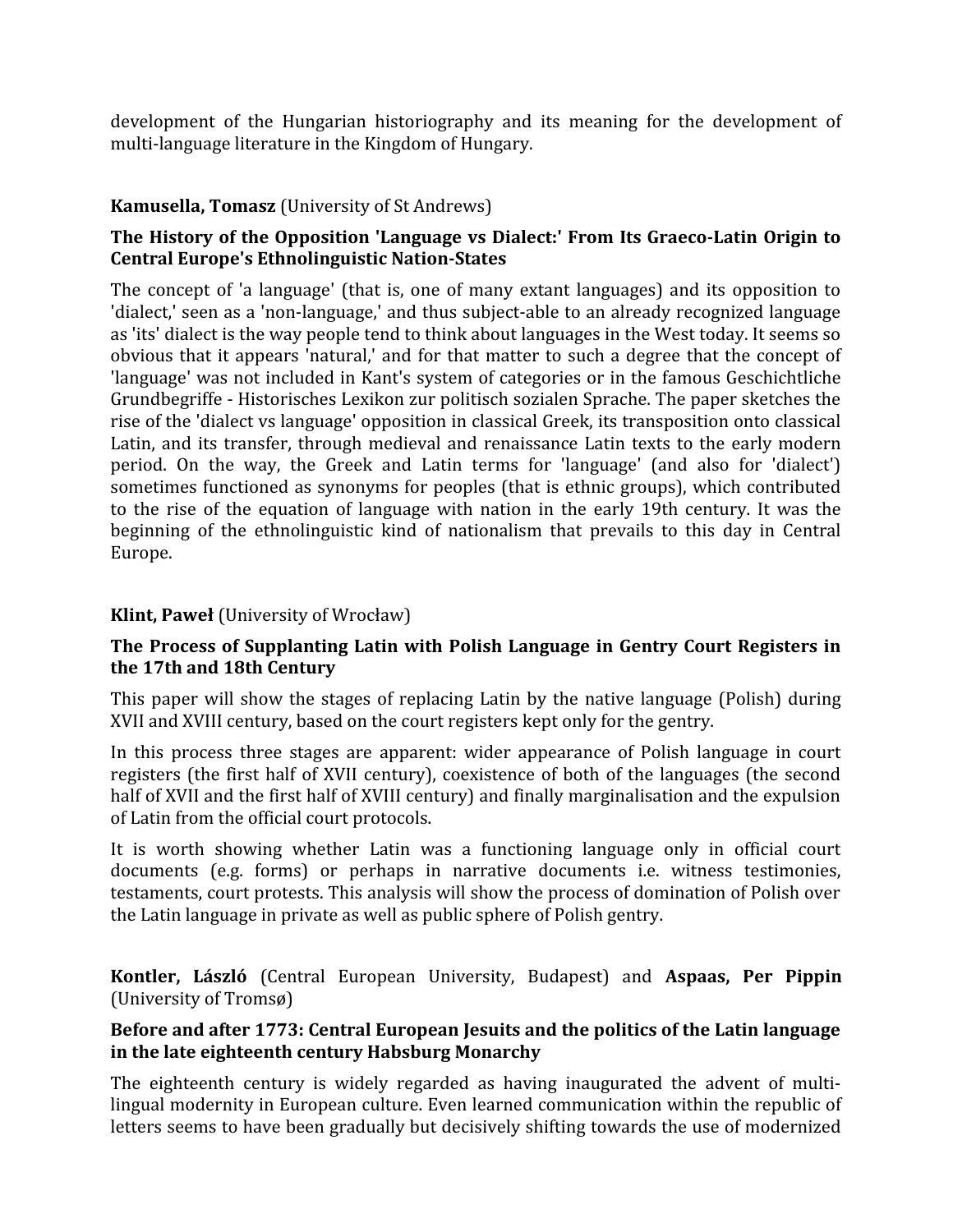development of the Hungarian historiography and its meaning for the development of multi-language literature in the Kingdom of Hungary.

### **Kamusella, Tomasz** (University of St Andrews)

## **The History of the Opposition 'Language vs Dialect:' From Its Graeco-Latin Origin to Central Europe's Ethnolinguistic Nation-States**

The concept of 'a language' (that is, one of many extant languages) and its opposition to 'dialect,' seen as a 'non-language,' and thus subject-able to an already recognized language as 'its' dialect is the way people tend to think about languages in the West today. It seems so obvious that it appears 'natural,' and for that matter to such a degree that the concept of 'language' was not included in Kant's system of categories or in the famous Geschichtliche Grundbegriffe - Historisches Lexikon zur politisch sozialen Sprache. The paper sketches the rise of the 'dialect vs language' opposition in classical Greek, its transposition onto classical Latin, and its transfer, through medieval and renaissance Latin texts to the early modern period. On the way, the Greek and Latin terms for 'language' (and also for 'dialect') sometimes functioned as synonyms for peoples (that is ethnic groups), which contributed to the rise of the equation of language with nation in the early 19th century. It was the beginning of the ethnolinguistic kind of nationalism that prevails to this day in Central Europe.

### **Klint, Paweł** (University of Wrocław)

## **The Process of Supplanting Latin with Polish Language in Gentry Court Registers in the 17th and 18th Century**

This paper will show the stages of replacing Latin by the native language (Polish) during XVII and XVIII century, based on the court registers kept only for the gentry.

In this process three stages are apparent: wider appearance of Polish language in court registers (the first half of XVII century), coexistence of both of the languages (the second half of XVII and the first half of XVIII century) and finally marginalisation and the expulsion of Latin from the official court protocols.

It is worth showing whether Latin was a functioning language only in official court documents (e.g. forms) or perhaps in narrative documents i.e. witness testimonies, testaments, court protests. This analysis will show the process of domination of Polish over the Latin language in private as well as public sphere of Polish gentry.

**Kontler, László** (Central European University, Budapest) and **Aspaas, Per Pippin** (University of Tromsø)

#### **Before and after 1773: Central European Jesuits and the politics of the Latin language in the late eighteenth century Habsburg Monarchy**

The eighteenth century is widely regarded as having inaugurated the advent of multilingual modernity in European culture. Even learned communication within the republic of letters seems to have been gradually but decisively shifting towards the use of modernized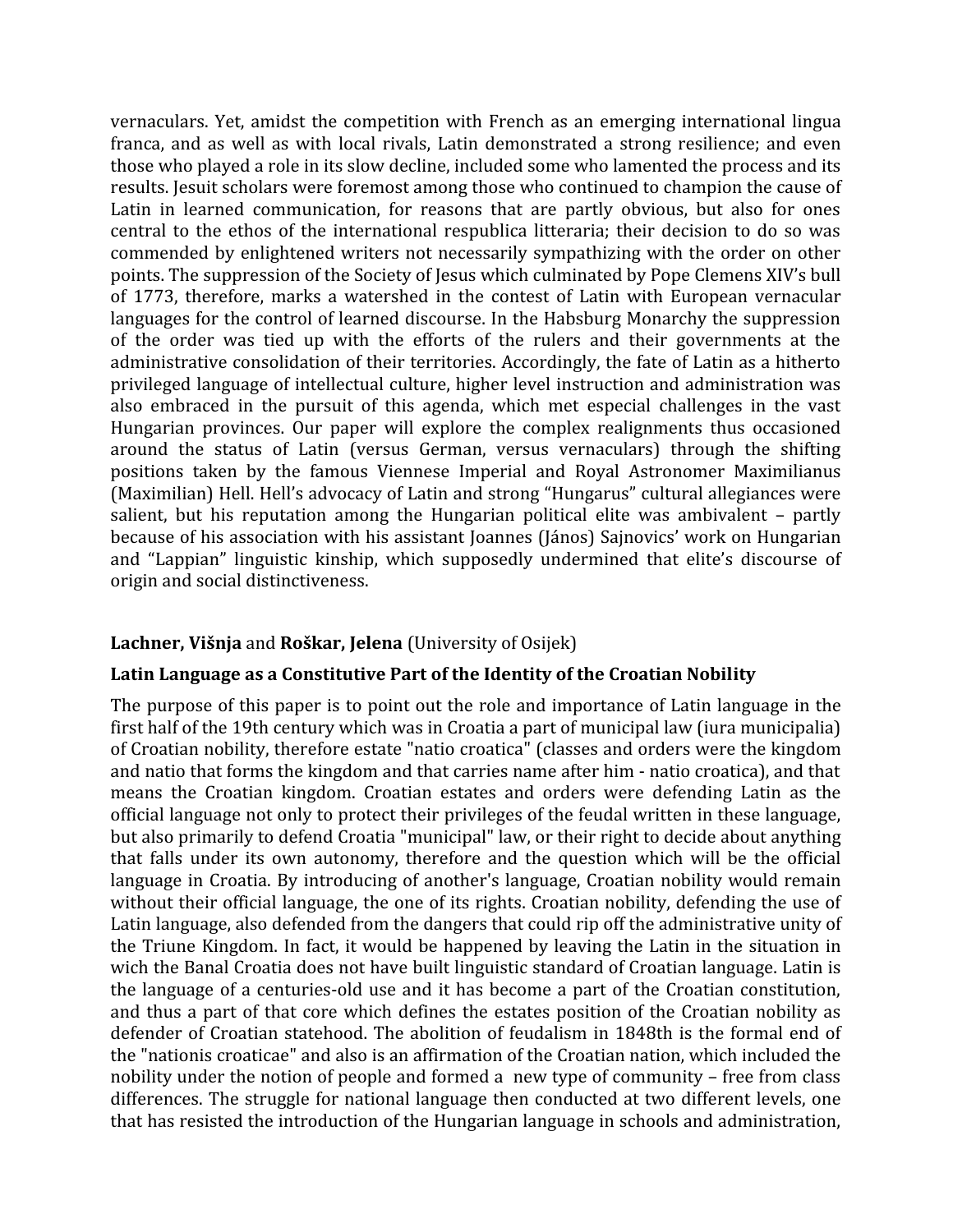vernaculars. Yet, amidst the competition with French as an emerging international lingua franca, and as well as with local rivals, Latin demonstrated a strong resilience; and even those who played a role in its slow decline, included some who lamented the process and its results. Jesuit scholars were foremost among those who continued to champion the cause of Latin in learned communication, for reasons that are partly obvious, but also for ones central to the ethos of the international respublica litteraria; their decision to do so was commended by enlightened writers not necessarily sympathizing with the order on other points. The suppression of the Society of Jesus which culminated by Pope Clemens XIV's bull of 1773, therefore, marks a watershed in the contest of Latin with European vernacular languages for the control of learned discourse. In the Habsburg Monarchy the suppression of the order was tied up with the efforts of the rulers and their governments at the administrative consolidation of their territories. Accordingly, the fate of Latin as a hitherto privileged language of intellectual culture, higher level instruction and administration was also embraced in the pursuit of this agenda, which met especial challenges in the vast Hungarian provinces. Our paper will explore the complex realignments thus occasioned around the status of Latin (versus German, versus vernaculars) through the shifting positions taken by the famous Viennese Imperial and Royal Astronomer Maximilianus (Maximilian) Hell. Hell's advocacy of Latin and strong "Hungarus" cultural allegiances were salient, but his reputation among the Hungarian political elite was ambivalent – partly because of his association with his assistant Joannes (János) Sajnovics' work on Hungarian and "Lappian" linguistic kinship, which supposedly undermined that elite's discourse of origin and social distinctiveness.

#### **Lachner, Višnja** and **Roškar, Jelena** (University of Osijek)

#### **Latin Language as a Constitutive Part of the Identity of the Croatian Nobility**

The purpose of this paper is to point out the role and importance of Latin language in the first half of the 19th century which was in Croatia a part of municipal law (iura municipalia) of Croatian nobility, therefore estate "natio croatica" (classes and orders were the kingdom and natio that forms the kingdom and that carries name after him - natio croatica), and that means the Croatian kingdom. Croatian estates and orders were defending Latin as the official language not only to protect their privileges of the feudal written in these language, but also primarily to defend Croatia "municipal" law, or their right to decide about anything that falls under its own autonomy, therefore and the question which will be the official language in Croatia. By introducing of another's language, Croatian nobility would remain without their official language, the one of its rights. Croatian nobility, defending the use of Latin language, also defended from the dangers that could rip off the administrative unity of the Triune Kingdom. In fact, it would be happened by leaving the Latin in the situation in wich the Banal Croatia does not have built linguistic standard of Croatian language. Latin is the language of a centuries-old use and it has become a part of the Croatian constitution, and thus a part of that core which defines the estates position of the Croatian nobility as defender of Croatian statehood. The abolition of feudalism in 1848th is the formal end of the "nationis croaticae" and also is an affirmation of the Croatian nation, which included the nobility under the notion of people and formed a new type of community – free from class differences. The struggle for national language then conducted at two different levels, one that has resisted the introduction of the Hungarian language in schools and administration,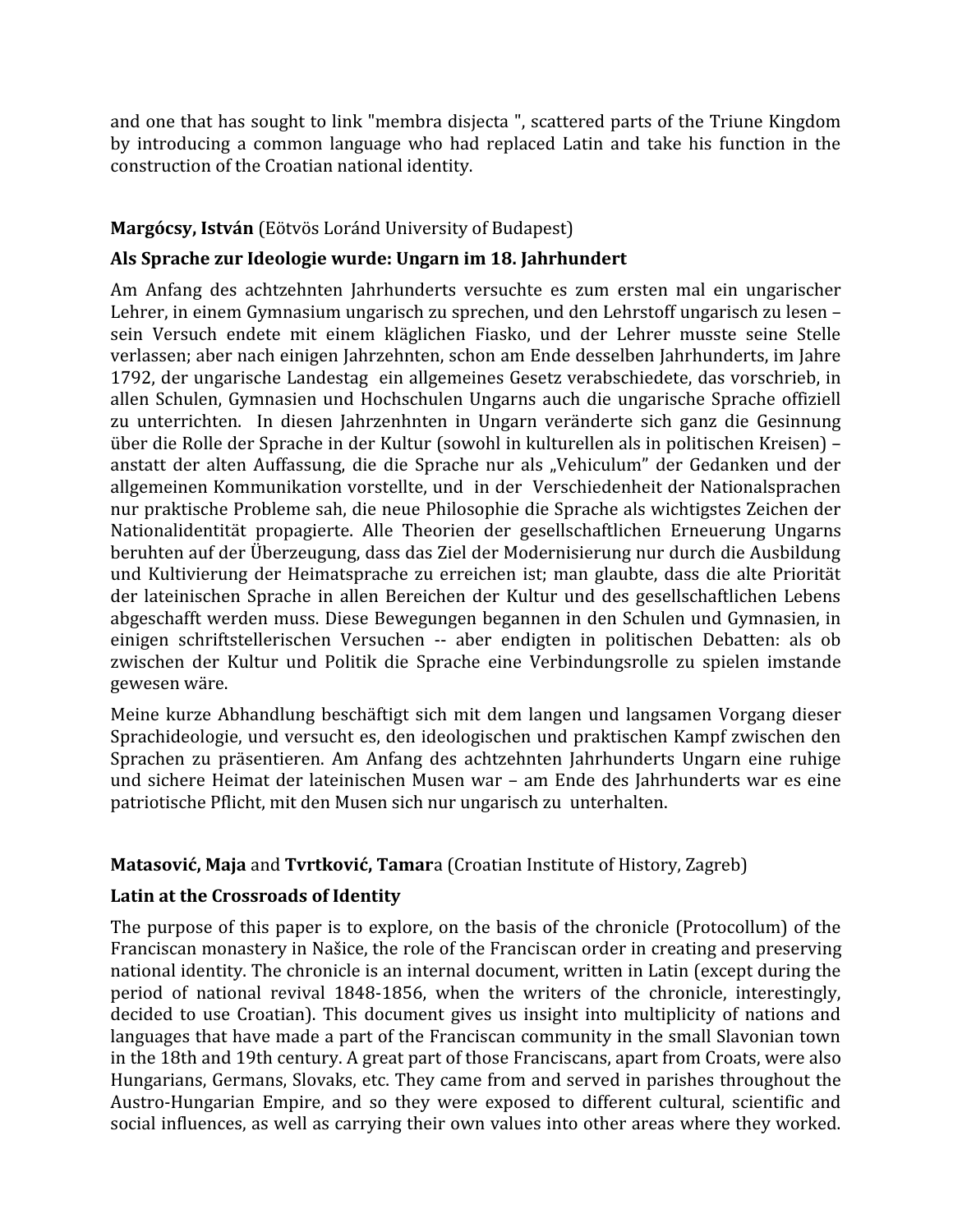and one that has sought to link "membra disjecta ", scattered parts of the Triune Kingdom by introducing a common language who had replaced Latin and take his function in the construction of the Croatian national identity.

# **Margócsy, István** (Eötvös Loránd University of Budapest)

### **Als Sprache zur Ideologie wurde: Ungarn im 18. Jahrhundert**

Am Anfang des achtzehnten Jahrhunderts versuchte es zum ersten mal ein ungarischer Lehrer, in einem Gymnasium ungarisch zu sprechen, und den Lehrstoff ungarisch zu lesen – sein Versuch endete mit einem kläglichen Fiasko, und der Lehrer musste seine Stelle verlassen; aber nach einigen Jahrzehnten, schon am Ende desselben Jahrhunderts, im Jahre 1792, der ungarische Landestag ein allgemeines Gesetz verabschiedete, das vorschrieb, in allen Schulen, Gymnasien und Hochschulen Ungarns auch die ungarische Sprache offiziell zu unterrichten. In diesen Jahrzenhnten in Ungarn veränderte sich ganz die Gesinnung über die Rolle der Sprache in der Kultur (sowohl in kulturellen als in politischen Kreisen) – anstatt der alten Auffassung, die die Sprache nur als "Vehiculum" der Gedanken und der allgemeinen Kommunikation vorstellte, und in der Verschiedenheit der Nationalsprachen nur praktische Probleme sah, die neue Philosophie die Sprache als wichtigstes Zeichen der Nationalidentität propagierte. Alle Theorien der gesellschaftlichen Erneuerung Ungarns beruhten auf der Überzeugung, dass das Ziel der Modernisierung nur durch die Ausbildung und Kultivierung der Heimatsprache zu erreichen ist; man glaubte, dass die alte Priorität der lateinischen Sprache in allen Bereichen der Kultur und des gesellschaftlichen Lebens abgeschafft werden muss. Diese Bewegungen begannen in den Schulen und Gymnasien, in einigen schriftstellerischen Versuchen -- aber endigten in politischen Debatten: als ob zwischen der Kultur und Politik die Sprache eine Verbindungsrolle zu spielen imstande gewesen wäre.

Meine kurze Abhandlung beschäftigt sich mit dem langen und langsamen Vorgang dieser Sprachideologie, und versucht es, den ideologischen und praktischen Kampf zwischen den Sprachen zu präsentieren. Am Anfang des achtzehnten Jahrhunderts Ungarn eine ruhige und sichere Heimat der lateinischen Musen war – am Ende des Jahrhunderts war es eine patriotische Pflicht, mit den Musen sich nur ungarisch zu unterhalten.

#### **Matasović, Maja** and **Tvrtković, Tamar**a (Croatian Institute of History, Zagreb)

#### **Latin at the Crossroads of Identity**

The purpose of this paper is to explore, on the basis of the chronicle (Protocollum) of the Franciscan monastery in Našice, the role of the Franciscan order in creating and preserving national identity. The chronicle is an internal document, written in Latin (except during the period of national revival 1848-1856, when the writers of the chronicle, interestingly, decided to use Croatian). This document gives us insight into multiplicity of nations and languages that have made a part of the Franciscan community in the small Slavonian town in the 18th and 19th century. A great part of those Franciscans, apart from Croats, were also Hungarians, Germans, Slovaks, etc. They came from and served in parishes throughout the Austro-Hungarian Empire, and so they were exposed to different cultural, scientific and social influences, as well as carrying their own values into other areas where they worked.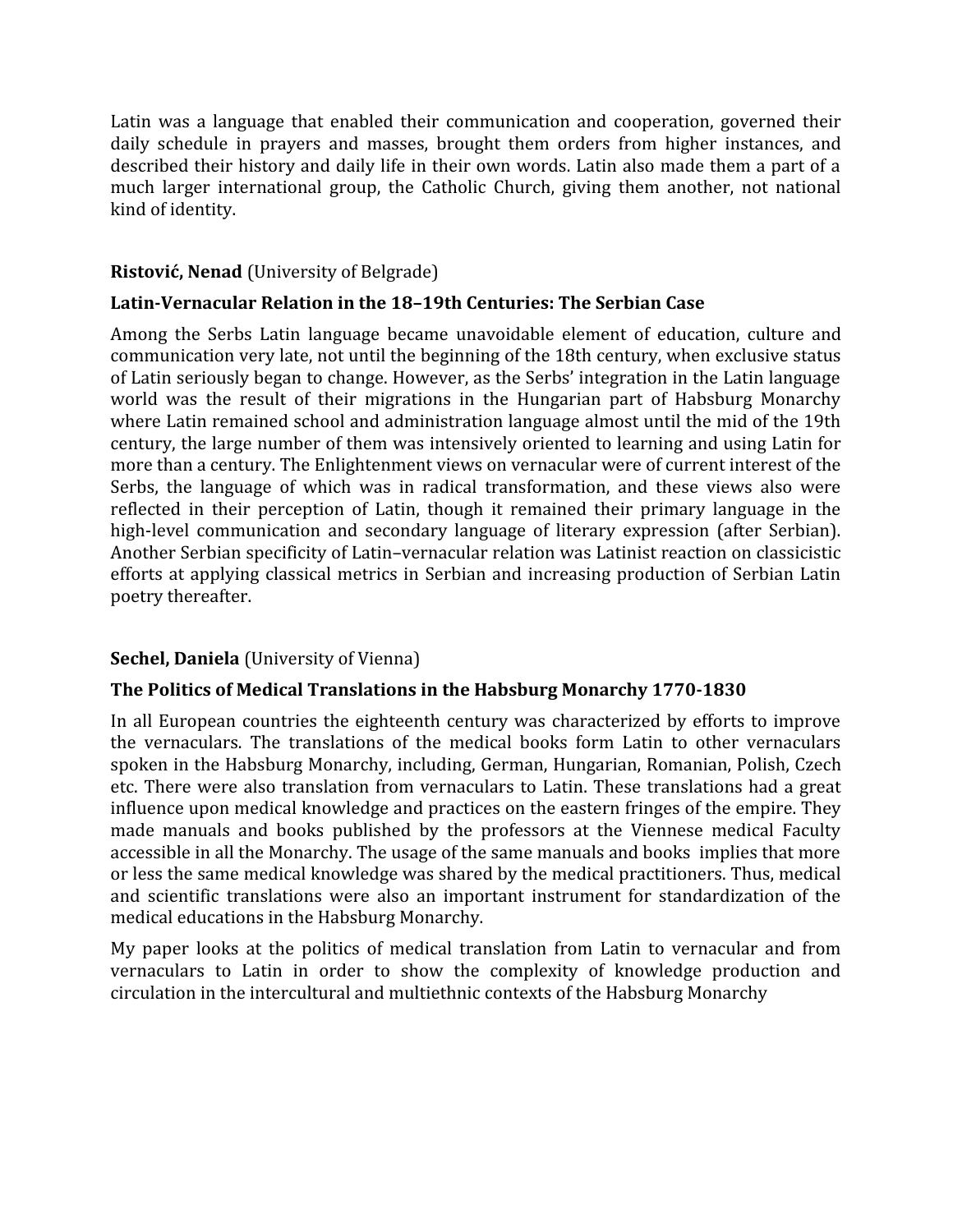Latin was a language that enabled their communication and cooperation, governed their daily schedule in prayers and masses, brought them orders from higher instances, and described their history and daily life in their own words. Latin also made them a part of a much larger international group, the Catholic Church, giving them another, not national kind of identity.

## **Ristović, Nenad** (University of Belgrade)

## **Latin-Vernacular Relation in the 18–19th Centuries: The Serbian Case**

Among the Serbs Latin language became unavoidable element of education, culture and communication very late, not until the beginning of the 18th century, when exclusive status of Latin seriously began to change. However, as the Serbs' integration in the Latin language world was the result of their migrations in the Hungarian part of Habsburg Monarchy where Latin remained school and administration language almost until the mid of the 19th century, the large number of them was intensively oriented to learning and using Latin for more than a century. The Enlightenment views on vernacular were of current interest of the Serbs, the language of which was in radical transformation, and these views also were reflected in their perception of Latin, though it remained their primary language in the high-level communication and secondary language of literary expression (after Serbian). Another Serbian specificity of Latin–vernacular relation was Latinist reaction on classicistic efforts at applying classical metrics in Serbian and increasing production of Serbian Latin poetry thereafter.

# **Sechel, Daniela** (University of Vienna)

# **The Politics of Medical Translations in the Habsburg Monarchy 1770-1830**

In all European countries the eighteenth century was characterized by efforts to improve the vernaculars. The translations of the medical books form Latin to other vernaculars spoken in the Habsburg Monarchy, including, German, Hungarian, Romanian, Polish, Czech etc. There were also translation from vernaculars to Latin. These translations had a great influence upon medical knowledge and practices on the eastern fringes of the empire. They made manuals and books published by the professors at the Viennese medical Faculty accessible in all the Monarchy. The usage of the same manuals and books implies that more or less the same medical knowledge was shared by the medical practitioners. Thus, medical and scientific translations were also an important instrument for standardization of the medical educations in the Habsburg Monarchy.

My paper looks at the politics of medical translation from Latin to vernacular and from vernaculars to Latin in order to show the complexity of knowledge production and circulation in the intercultural and multiethnic contexts of the Habsburg Monarchy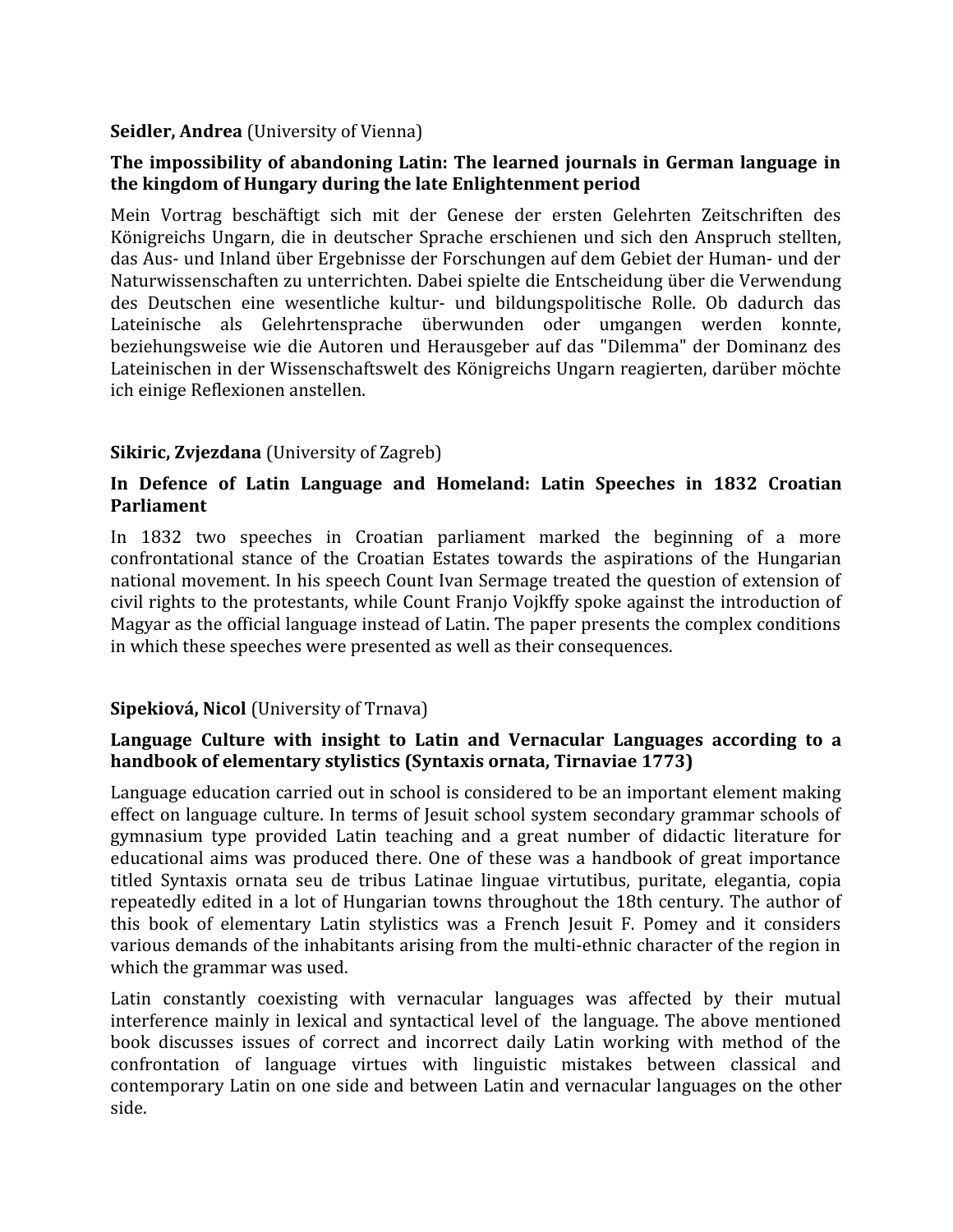## **Seidler, Andrea** (University of Vienna)

## **The impossibility of abandoning Latin: The learned journals in German language in the kingdom of Hungary during the late Enlightenment period**

Mein Vortrag beschäftigt sich mit der Genese der ersten Gelehrten Zeitschriften des Königreichs Ungarn, die in deutscher Sprache erschienen und sich den Anspruch stellten, das Aus- und Inland über Ergebnisse der Forschungen auf dem Gebiet der Human- und der Naturwissenschaften zu unterrichten. Dabei spielte die Entscheidung über die Verwendung des Deutschen eine wesentliche kultur- und bildungspolitische Rolle. Ob dadurch das Lateinische als Gelehrtensprache überwunden oder umgangen werden konnte, beziehungsweise wie die Autoren und Herausgeber auf das "Dilemma" der Dominanz des Lateinischen in der Wissenschaftswelt des Königreichs Ungarn reagierten, darüber möchte ich einige Reflexionen anstellen.

# **Sikiric, Zvjezdana** (University of Zagreb)

## **In Defence of Latin Language and Homeland: Latin Speeches in 1832 Croatian Parliament**

In 1832 two speeches in Croatian parliament marked the beginning of a more confrontational stance of the Croatian Estates towards the aspirations of the Hungarian national movement. In his speech Count Ivan Sermage treated the question of extension of civil rights to the protestants, while Count Franjo Vojkffy spoke against the introduction of Magyar as the official language instead of Latin. The paper presents the complex conditions in which these speeches were presented as well as their consequences.

# **Sipekiová, Nicol** (University of Trnava)

## **Language Culture with insight to Latin and Vernacular Languages according to a handbook of elementary stylistics (Syntaxis ornata, Tirnaviae 1773)**

Language education carried out in school is considered to be an important element making effect on language culture. In terms of Jesuit school system secondary grammar schools of gymnasium type provided Latin teaching and a great number of didactic literature for educational aims was produced there. One of these was a handbook of great importance titled Syntaxis ornata seu de tribus Latinae linguae virtutibus, puritate, elegantia, copia repeatedly edited in a lot of Hungarian towns throughout the 18th century. The author of this book of elementary Latin stylistics was a French Jesuit F. Pomey and it considers various demands of the inhabitants arising from the multi-ethnic character of the region in which the grammar was used.

Latin constantly coexisting with vernacular languages was affected by their mutual interference mainly in lexical and syntactical level of the language. The above mentioned book discusses issues of correct and incorrect daily Latin working with method of the confrontation of language virtues with linguistic mistakes between classical and contemporary Latin on one side and between Latin and vernacular languages on the other side.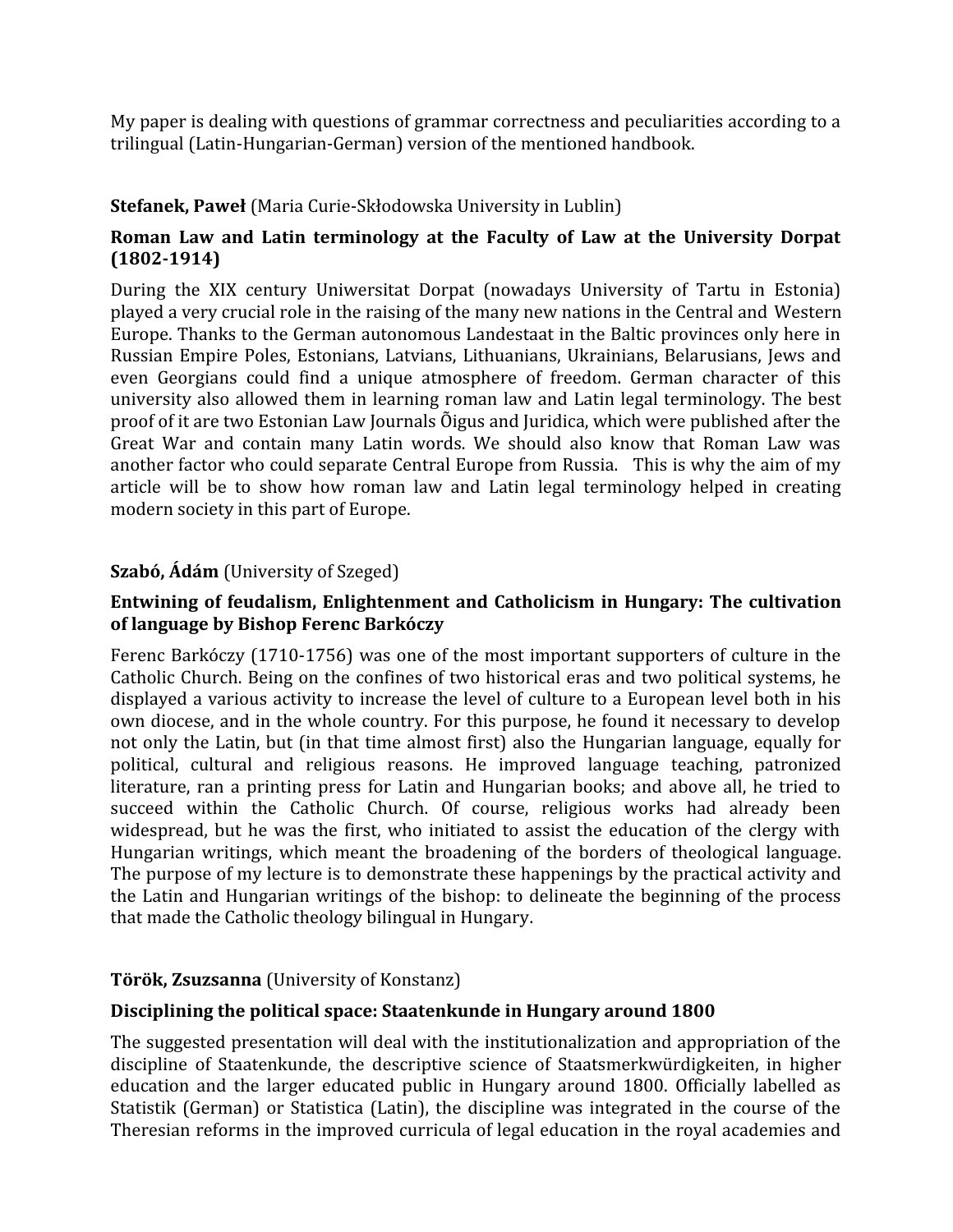My paper is dealing with questions of grammar correctness and peculiarities according to a trilingual (Latin-Hungarian-German) version of the mentioned handbook.

## **Stefanek, Paweł** (Maria Curie-Skłodowska University in Lublin)

## **Roman Law and Latin terminology at the Faculty of Law at the University Dorpat (1802-1914)**

During the XIX century Uniwersitat Dorpat (nowadays University of Tartu in Estonia) played a very crucial role in the raising of the many new nations in the Central and Western Europe. Thanks to the German autonomous Landestaat in the Baltic provinces only here in Russian Empire Poles, Estonians, Latvians, Lithuanians, Ukrainians, Belarusians, Jews and even Georgians could find a unique atmosphere of freedom. German character of this university also allowed them in learning roman law and Latin legal terminology. The best proof of it are two Estonian Law Journals Õigus and Juridica, which were published after the Great War and contain many Latin words. We should also know that Roman Law was another factor who could separate Central Europe from Russia. This is why the aim of my article will be to show how roman law and Latin legal terminology helped in creating modern society in this part of Europe.

## **Szabó, Ádám** (University of Szeged)

### **Entwining of feudalism, Enlightenment and Catholicism in Hungary: The cultivation of language by Bishop Ferenc Barkóczy**

Ferenc Barkóczy (1710-1756) was one of the most important supporters of culture in the Catholic Church. Being on the confines of two historical eras and two political systems, he displayed a various activity to increase the level of culture to a European level both in his own diocese, and in the whole country. For this purpose, he found it necessary to develop not only the Latin, but (in that time almost first) also the Hungarian language, equally for political, cultural and religious reasons. He improved language teaching, patronized literature, ran a printing press for Latin and Hungarian books; and above all, he tried to succeed within the Catholic Church. Of course, religious works had already been widespread, but he was the first, who initiated to assist the education of the clergy with Hungarian writings, which meant the broadening of the borders of theological language. The purpose of my lecture is to demonstrate these happenings by the practical activity and the Latin and Hungarian writings of the bishop: to delineate the beginning of the process that made the Catholic theology bilingual in Hungary.

# **Török, Zsuzsanna** (University of Konstanz)

#### **Disciplining the political space: Staatenkunde in Hungary around 1800**

The suggested presentation will deal with the institutionalization and appropriation of the discipline of Staatenkunde, the descriptive science of Staatsmerkwürdigkeiten, in higher education and the larger educated public in Hungary around 1800. Officially labelled as Statistik (German) or Statistica (Latin), the discipline was integrated in the course of the Theresian reforms in the improved curricula of legal education in the royal academies and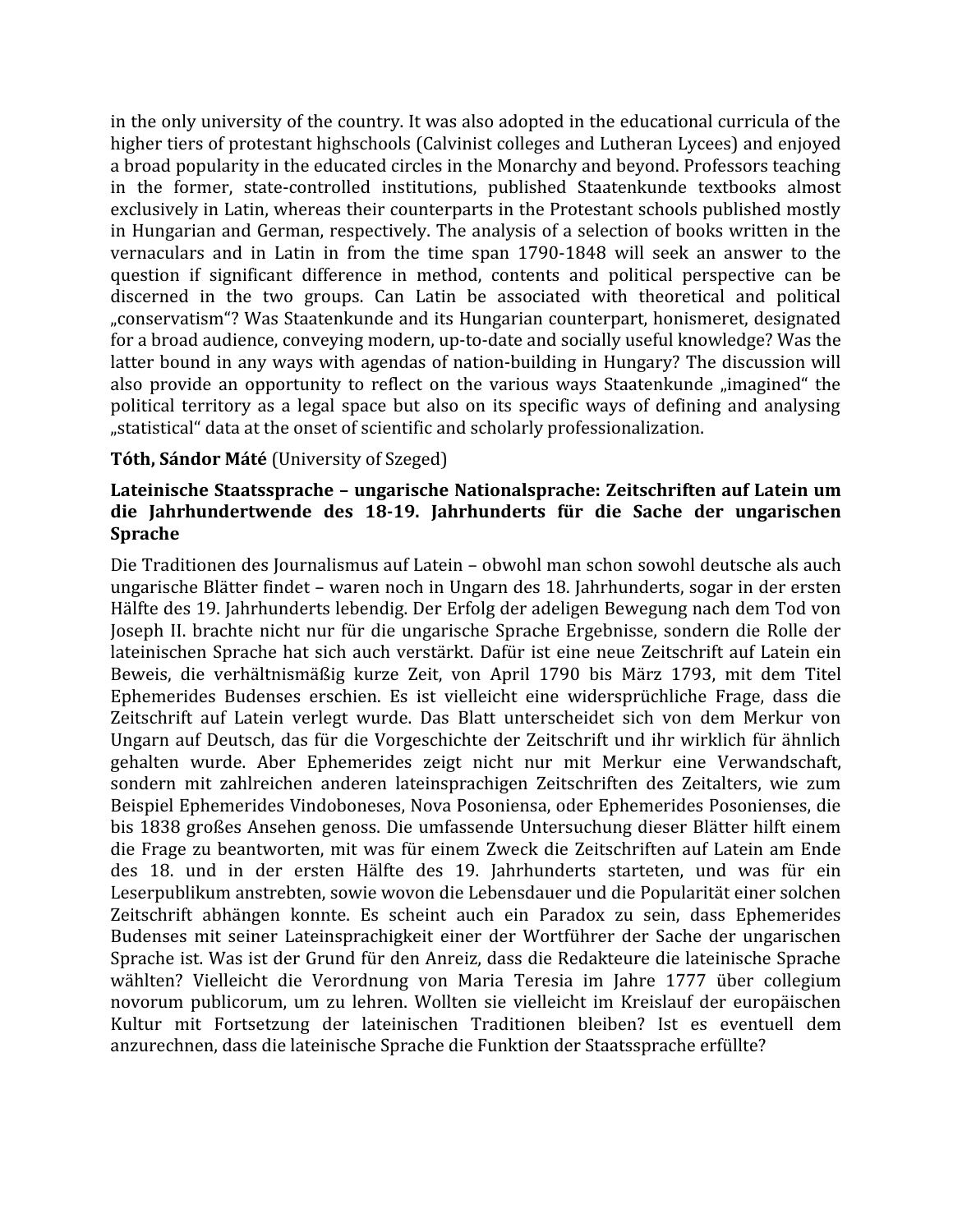in the only university of the country. It was also adopted in the educational curricula of the higher tiers of protestant highschools (Calvinist colleges and Lutheran Lycees) and enjoyed a broad popularity in the educated circles in the Monarchy and beyond. Professors teaching in the former, state‐controlled institutions, published Staatenkunde textbooks almost exclusively in Latin, whereas their counterparts in the Protestant schools published mostly in Hungarian and German, respectively. The analysis of a selection of books written in the vernaculars and in Latin in from the time span 1790‐1848 will seek an answer to the question if significant difference in method, contents and political perspective can be discerned in the two groups. Can Latin be associated with theoretical and political "conservatism"? Was Staatenkunde and its Hungarian counterpart, honismeret, designated for a broad audience, conveying modern, up-to-date and socially useful knowledge? Was the latter bound in any ways with agendas of nation-building in Hungary? The discussion will also provide an opportunity to reflect on the various ways Staatenkunde "imagined" the political territory as a legal space but also on its specific ways of defining and analysing "statistical" data at the onset of scientific and scholarly professionalization.

#### **Tóth, Sándor Máté** (University of Szeged)

#### **Lateinische Staatssprache – ungarische Nationalsprache: Zeitschriften auf Latein um die Jahrhundertwende des 18-19. Jahrhunderts für die Sache der ungarischen Sprache**

Die Traditionen des Journalismus auf Latein – obwohl man schon sowohl deutsche als auch ungarische Blätter findet – waren noch in Ungarn des 18. Jahrhunderts, sogar in der ersten Hälfte des 19. Jahrhunderts lebendig. Der Erfolg der adeligen Bewegung nach dem Tod von Joseph II. brachte nicht nur für die ungarische Sprache Ergebnisse, sondern die Rolle der lateinischen Sprache hat sich auch verstärkt. Dafür ist eine neue Zeitschrift auf Latein ein Beweis, die verhältnismäßig kurze Zeit, von April 1790 bis März 1793, mit dem Titel Ephemerides Budenses erschien. Es ist vielleicht eine widersprüchliche Frage, dass die Zeitschrift auf Latein verlegt wurde. Das Blatt unterscheidet sich von dem Merkur von Ungarn auf Deutsch, das für die Vorgeschichte der Zeitschrift und ihr wirklich für ähnlich gehalten wurde. Aber Ephemerides zeigt nicht nur mit Merkur eine Verwandschaft, sondern mit zahlreichen anderen lateinsprachigen Zeitschriften des Zeitalters, wie zum Beispiel Ephemerides Vindoboneses, Nova Posoniensa, oder Ephemerides Posonienses, die bis 1838 großes Ansehen genoss. Die umfassende Untersuchung dieser Blätter hilft einem die Frage zu beantworten, mit was für einem Zweck die Zeitschriften auf Latein am Ende des 18. und in der ersten Hälfte des 19. Jahrhunderts starteten, und was für ein Leserpublikum anstrebten, sowie wovon die Lebensdauer und die Popularität einer solchen Zeitschrift abhängen konnte. Es scheint auch ein Paradox zu sein, dass Ephemerides Budenses mit seiner Lateinsprachigkeit einer der Wortführer der Sache der ungarischen Sprache ist. Was ist der Grund für den Anreiz, dass die Redakteure die lateinische Sprache wählten? Vielleicht die Verordnung von Maria Teresia im Jahre 1777 über collegium novorum publicorum, um zu lehren. Wollten sie vielleicht im Kreislauf der europäischen Kultur mit Fortsetzung der lateinischen Traditionen bleiben? Ist es eventuell dem anzurechnen, dass die lateinische Sprache die Funktion der Staatssprache erfüllte?